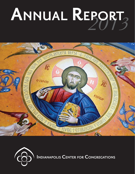# *2013* **ANNUAL REPORT**





**INDIANAPOLIS CENTER FOR CONGREGATIONS**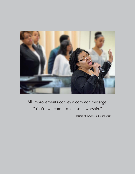

All improvements convey a common message: "You're welcome to join us in worship."

— Bethel AME Church, Bloomington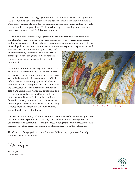The Center works with congregations around all of their challenges and opportunities.<br>
ties. Building issues are consistently top concerns for Indiana faith communities. Daily congregational life includes building maintenance, renovations and new projects for many Indiana congregations. Whether a church, parish, meeting or synagogue is new or old, urban or rural, facilities need attention.

We have found that helping congregations find the right resources to enhance facilities ultimately supports clarity about purpose and improves congregational capacity to deal with a variety of other challenges. A renovated sanctuary allows for new forms of worship. A new elevator demonstrates a commitment to greater hospitality. Art and

aesthetics lead to an understanding of history and greater spirituality. Rebuilding after a fire or natural disaster provides a congregation the opportunity to resiliently dedicate resources to that which it cares most about.

In 2013, the four Indiana congregations featured in this report were among many which worked with the Center on building and a variety of other issues. We walked alongside 1016 congregations in 2013, offering resource consulting, grants and education events, thanks to funding from the Lilly Endowment Inc. The Center awarded more than \$1 million in grants and presented or hosted 152 educational and congregational gatherings. In 2013, we welcomed new northwest Director Katie Lindberg and said farewell to retiring northeast Director Brian Witwer. Our staff produced signature events like Flourishing Congregations in Muncie and the Youth Ministry Grants Initiative for central Indiana.



Holy Trinity Greek Orthodox Church, Carmel

Congregations are strong and vibrant communities. Indiana is home to many great stories of hope and inspiration and creativity. We invite you to walk these journeys with our featured faith communities, seeing the faces of congregational life through the photographs, as well as peruse our statistics and financial reports in this publication.

The Center for Congregations is proud to serve Indiana congregations and to help empower them for the future.

Din Shapero

*Tim Shapiro Center President*

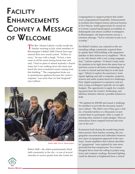## **FACILITY ENHANCEMENTS CONVEY A MESSAGE OF WELCOME**

The Rev. Dennis Laffoon vividly recalls the<br>Sunday morning in July when members of Bloomington's Bethel AME Church first experienced their new sound system. "It blew us away," he says with a laugh. "In fact, a man came in off the street during break time and said, 'I had no plans to attend anybody's church today but I was walking down the street and heard the most wonderful sound coming from this building.'" The congregation broke out in spontaneous applause because the visitor's response "was more than we had imagined," says Laffoon.



Bethel AME Church, Bloomington

Bethel AME—the oldest predominately black faith community in the city—is one of several churches to receive grants from the Center for Congregations to support projects that underscore congregational hospitality. Enhancements to facilities have helped remove physical barriers in Fort Wayne, instill appreciation for sacred art in Carmel, expand handicapped accessibility in Indianapolis and attract youthful worshippers in Bloomington. All improvements convey a common message: "You're welcome to join us in worship."

For Bethel's leaders, any outreach to the surrounding college community required them to update their 1922 building with equipment familiar to their techno-savvy neighbors. "We're a very old church with a very young congregation," Laffoon explains. "It doesn't make sense for students to be right down the street from us and have access to all forms of technology but to come to church and feel they're in the dark ages." Efforts to replace the sanctuary's inadequate lighting and add a computer, projector, screens and audio system faced two challenges. First, digital equipment is expensive; and second, young worshippers typically are on tight budgets. The opportunity to apply for a matching grant from the Center's Technology and Ministry Initiative offered a possible solution to both.

"We applied for \$30,000 and issued a challenge for members to provide the necessary match," says Laffoon. "We didn't care if they gave a dollar, a hundred dollars or a thousand; we just wanted them to participate. After a couple of meetings they started to make pledges. Then an anonymous donor stepped forward and took care of the rest."

Excitement built during the month-long installation period. Each Sunday morning, the congregation encountered and celebrated whatever new piece of equipment appeared in the sanctuary. Sound amplifiers that Laffoon describes as "gargantuan" were replaced by ones more powerful but less conspicuous. Two screens dropped down from the ceiling to project song lyrics and scripture readings. Recessed lighting could be dimmed or brightened from a central

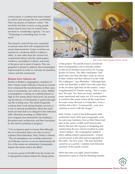control panel. A youthful tech team formed to explore and manage the new possibilities. This was all part of Laffoon's vision. "We loved the fact that so many young people attend church here, but we wanted them involved in a leadership capacity," he says. "Technology is something they've mastered."

The church's wish list has now expanded to include items that will complement the recent improvements. Carpet swatches are stacked on a bookcase shelf in Laffoon's office. A color other than the current red would better blend with the stained-glass windows, according to Laffoon, and some of the pews are in need of repairs. The congregation is poised to address these meaningful improvements in order to welcome its members, visitors and the community.

#### **SHARING FAITH THROUGH ART**

Similar to Bethel's congregation, members of Holy Trinity Greek Orthodox Church in Carmel have witnessed the transformation of their sanctuary in increments, one week at a time. Skilled iconographers, working on scaffolds placed as high as five stories above floor level, are recreating the history of Christianity in panels throughout the worship area. The artists frequently continue their work during Sunday services as a way to educate parishioners about the traditional art form that is so integral to the Orthodox faith. Motorists traveling on 106th Street have stopped, first attracted by the building's Byzantine-style architecture and then fascinated by the interior painting in progress.

"I try to impress upon everyone that although the art is beautiful, that's not why we do it," explains Dean Maniakas, Holy Trinity's chanter. "The art strengthens our worship experience. An Orthodox service is not one dimensional; all five of the senses are stimulated. Iconography depicts the stories told in the Bible."

A resource grant of \$15,000 from the Center for Congregations helped initiate the design phase



Holy Trinity Greek Orthodox Church, Carmel

of the project. The parish council considered three iconographers and eventually settled on the seven-member team led by Dr. George Kordis of Greece. The other candidates "had good ideas, but they did their work on canvas in their studios and then affixed it to the walls like wallpaper," says Maniakas. "Although their work was beautiful, it didn't have the same flow as the art done right here on the surface. I once complimented Dr. Kordis, saying, 'This is so perfect!' He said, 'No, there are many mistakes some intentional and some not. If it were perfect, it would be like music where all the notes have the same value. Because it is imperfect, it has a rhythm and a flow.' Consequently, your eyes continue to move with the images."

Holy Trinity, a part of the Indianapolis faith community since 1910, had iconography at its two previous locations, first on West Street and later at the corner of 40th and Pennsylvania streets. Because the expense of designing and constructing the new church resulted in some "donor fatigue," the congregation opted to delay adding interior appointments—a handcarved screen at the altar and iconography on the walls—for four years. "We had stretched ourselves as a parish," explains Gail Zeheralis, secretary of the parish council.

When the time was right, church leaders announced a plan to add the finishing touches

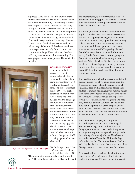in phases. They also decided to invite Central Indiana to share what Zeheralis calls the "oncein-a-lifetime opportunity" of watching a master iconographer at work. Tours of the sanctuary during the annual GreekFest attracted standingroom-only crowds, various news media reported on the project, and Kordis gave public presentations at Ball State University, Herron School of Art and Design and the University of Notre Dame. "None of us had ever seen this done before," says Zeheralis. "It has been an educational experience not only for us, but for the community at large. New visitors to the church uniformly seemed amazed upon entering. The iconography transports a person. The work 'fits' the faith."



Plymouth Congregational Church, Fort Wayne

**GIVING MINISTRY A LIFT**

If members of Fort Wayne's Plymouth Congregational Church hesitated to replace their aging elevator last year, it was for all the right reasons. The cost—estimated at \$175,000—was high; construction hadn't been factored into the annual budget; and the congregation tended to direct its funds to ministry programs rather than bricks and mortar projects. But it was the emphasis on ministry that influenced the decision to move ahead with the facility upgrade. The old elevator, small and temperamental, represented a barrier within a church that prides itself on being open and accessible to all.

"We're independent thinkers," says John Gardner, senior minister since 1998.

"The notion of nonconformity is part of our history." Hospitality, as defined by Plymouth's staff and membership, is a comprehensive term. "It also means removing physical barriers so people with limited mobility can participate fully in the life of the church," he says.

Because Plymouth Church is a sprawling building that stretches over three levels, accessibility has been an ongoing challenge for some members and visitors. In keeping with its welcoming policy, the church provides meeting space for civic music and theater groups; it is a charter member of the Interfaith Hospitality Network that shelters families in crisis; and it hosts the weekly Study Connection, a tutoring program that matches adults with elementary school students. When the city's Quaker congregation was in need of worship space many years ago, Gardner invited members to gather upstairs in Room 201 for a few weeks until they found a permanent home.

The need for a new elevator to accommodate all these activities was obvious for some time, but it became a priority when it became personal. RaeAnna, born with disabilities so severe that doctors estimated her longevity in months rather than years, was adopted by a couple who attended Plymouth Church. Because of her parents' loving care, RaeAnna lived to age five and regularly attended Sunday services. "She loved the music and clapping that often are part of worship," recalls Gardner. "Her parents moved her about in a three-wheeled stroller, and in her own way she illustrated the need for the elevator."

The construction project, once approved, was both expensive and time consuming. A \$12,450 resource grant from the Center for Congregations helped cover preliminary work, and a generous gift from a parishioner gave the fundraising effort a major boost. The elevator was dedicated on December 22, just six days before the church's 39th annual Boar's Head and Yule Log Festival, an event that draws more than 2,000 persons to the sanctuary over three days.

"It was critical for us to have the elevator operational by then," says Gardner. The traditional celebration involves 250 singers, musicians and

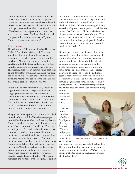bell ringers who make multiple trips from the sanctuary to the third level where props, costumes and instruments are stored. With the addition of the elevator, age and physical limitations no longer prevented members' participation. "The elevator is inconspicuous and unobtrusive to the eye," notes Gardner, "but it's a vital component that ensures ministry in Plymouth Church is accessible to everyone."

#### **TESTED BY FIRE**

The call came at 1:10 a.m. on Sunday, December 23, 2012. A motorist driving past Westview Christian Church on the northwest side of Indianapolis reported flames coming from the sanctuary. Although firefighters responded quickly and had the blaze under control within minutes, damage to the interior was extensive. The worship area was in charred ruins; soot coated the downstairs walls, and the entire building reeked of smoke. To clean the facility and reconstruct the narthex and sanctuary to their pre-fire state would cost an estimated \$350,000.

"It could have been so much worse," acknowledges Karen Johnson, vice president of the congregation and chair of the Restoration Committee. A nearby bridge, recently repaired, had reopened only a month or two before the fire. "If that bridge had still been closed, there would have been no through traffic, and the motorist would not have seen the fire."

The greater Indianapolis faith community rallied immediately around the Westview congregation. Within hours members of Speedway Baptist Church had cleared a space in their daycare area, set up chairs and arranged a table so Westview worshippers could conduct their Sunday service and observe weekly communion. The arrangement worked so well that the two congregations have continued to share space as Westview members have tackled several difficult questions. Among them: What is the next step in restoring our church? Should we return it to its previous design or should we initiate some changes? "There was never any doubt that we would rebuild," recalls Johnson. But how? "For some members, the response was, 'let's just get back in

our building.' Other members said, 'let's take a step back, talk about our sanctuary and narthex and think about what we've liked and haven't liked about them.'" Consensus emerged during several small group meetings that church leaders hosted. "As Disciples of Christ, we believe that all persons are welcome," says Johnson. "So it seemed ironic that not everyone could serve at the communion table or participate in the choir because those areas of our sanctuary weren't handicap accessible."

Finances were a concern, of course. If members decided to restore the building to its original configuration, the congregation's insurance policy would cover the work. If they decided to hire an architect to create a plan that would incorporate ramps, remove walls and make other structural changes, the congregation would be responsible for the additional costs. Hospitality won out in the end, and the Restoration Committee applied to the Center for Congregations for funds to support a new configuration. The \$15,000 resource grant that the church received came close to underwriting

preliminary plans that would ensure accessibility.

"The vision of our church is to be here for all people," says Johnson. "The new design puts those words into action. We've talked



Westview Christian Church, Indianapolis

a lot about how the fire has pulled us together. This is a building; the people who meet on Sunday morning are the church. We've come to realize that after going through an experience like this together."

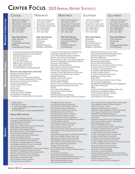## **CENTER FOCUS** 2013 ANNUAL REPORT STATISTICS

| CONSULTING<br><b>RESOURCE</b> | CENTRAL                                                                                                                                                                                                                                                                                                                                                                                                                                                                                                                                                                                                                                                                                                                                                             | <b>NORTHEAST</b>                                                                                                 | <b>NORTHWEST</b>                                                                                                                                                                                                                                                                                                                                                                                                                                                                                                                                                                                                                                                                                                                                                                                       | <b>SOUTHEAST</b>                                                                                                                                                                                            | <b>SOUTHWEST</b>                                                                                                                                                                                                                                                                                                                                                                                                                                                                                                                                                                                                                                                                                                                                                                                  |  |
|-------------------------------|---------------------------------------------------------------------------------------------------------------------------------------------------------------------------------------------------------------------------------------------------------------------------------------------------------------------------------------------------------------------------------------------------------------------------------------------------------------------------------------------------------------------------------------------------------------------------------------------------------------------------------------------------------------------------------------------------------------------------------------------------------------------|------------------------------------------------------------------------------------------------------------------|--------------------------------------------------------------------------------------------------------------------------------------------------------------------------------------------------------------------------------------------------------------------------------------------------------------------------------------------------------------------------------------------------------------------------------------------------------------------------------------------------------------------------------------------------------------------------------------------------------------------------------------------------------------------------------------------------------------------------------------------------------------------------------------------------------|-------------------------------------------------------------------------------------------------------------------------------------------------------------------------------------------------------------|---------------------------------------------------------------------------------------------------------------------------------------------------------------------------------------------------------------------------------------------------------------------------------------------------------------------------------------------------------------------------------------------------------------------------------------------------------------------------------------------------------------------------------------------------------------------------------------------------------------------------------------------------------------------------------------------------------------------------------------------------------------------------------------------------|--|
|                               | 4004 Conversations in<br>1159 Conversations in<br>641 Cases of which<br>118 Cases of which<br>$\bullet$<br>350 are New Cases with<br>69 are New Cases with<br>$\bullet$<br>533 People representing<br>123 People representing<br>$\bullet$<br>335 Congregations<br>83 Congregations<br>$\bullet$<br>65% were clergy<br>72% were clergy<br>$\bullet$<br>35% were laity<br>28% were laity<br>$\bullet$                                                                                                                                                                                                                                                                                                                                                                |                                                                                                                  | • 1321 Conversations in<br>• 187 Cases of which<br>• 136 are New Cases with<br>156 People representing<br>$\bullet$<br>96 Congregations<br>$\bullet$<br>76% were clergy<br>$\bullet$<br>24% were laity<br>$\bullet$                                                                                                                                                                                                                                                                                                                                                                                                                                                                                                                                                                                    | 1147 Conversations in<br>88 Cases of which<br>65 are New Cases with<br>$\bullet$<br>120 People representing<br>$\bullet$<br>61 Congregations<br>$\bullet$<br>64% were clergy<br>$\bullet$<br>36% were laity | • 1153 Conversa<br>$\cdot$ 116 Cases of w<br>• 82 are New Ca<br>• 118 People rep<br>• 68 Congregation<br>• 67% were clerg<br>• 33% were laity                                                                                                                                                                                                                                                                                                                                                                                                                                                                                                                                                                                                                                                     |  |
|                               | <b>THE TOP ISSUES</b><br>Youth Ministry<br>Technology<br>Congregational Vitality<br>Building<br>Congregational Finance                                                                                                                                                                                                                                                                                                                                                                                                                                                                                                                                                                                                                                              | <b>THE TOP ISSUES</b><br>Youth Ministry<br>Technology<br>Building<br>Strategic Planning<br>Children's Ministries | <b>THE TOP ISSUES</b><br>Congregational Vitality<br><b>Community Ministry</b><br>Building<br>Children's Ministry<br>Youth Ministry                                                                                                                                                                                                                                                                                                                                                                                                                                                                                                                                                                                                                                                                     | <b>THE TOP ISSUES</b><br><b>Disabilities</b><br>Technology<br><b>Board Development</b><br>Strategic Planning<br>Children's Ministries                                                                       | THE TOP ISS<br>Care Ministrie<br>Technology<br>Legal<br>Congregationa<br>Youth Ministry                                                                                                                                                                                                                                                                                                                                                                                                                                                                                                                                                                                                                                                                                                           |  |
| EVENTS<br>EDUCATIONAL         | 152 Educational Events and Meetings<br>Including 36 held in Central Indiana<br>31 in the Northeast area<br>29 in the Northwest<br>27 in the Southeast<br>and 29 in the Southwest<br>$\bullet$<br>1884 People representing<br>744 Congregations from<br>91 Faith Groups or Denominations<br>EVENTS AND MEETINGS INCLUDE:<br><b>Baptist Leadership Meeting</b><br><b>Base Religious Council</b><br>Bethel Church Communication Meeting<br>Broadway Christian Administrative Group<br>Brownstown Christian Church Retreat<br>Christ Church Apostolic<br>Christian Fellowship Church<br>Circle of Care<br>InTrust<br>City Church<br>Clergy Economics<br><b>Community Dinner Meeting</b><br>Making Room<br>Congregational Leadership<br>Morrillyillo Ministorial Mooting |                                                                                                                  | Covenant United Methodist Staff Meeting<br>Creating an Unbroken Circle of Care<br>Crown Point Ministerial Prayer Meeting<br>Diocese of Fort Wayne/South Bend<br>Discovering the Other; Asset Based Approach<br>Economic Challenges Facing Indiana Pastors<br>Episcopal Vestry Retreat<br><b>Essentials of Church Finance</b><br>Faith Lutheran Church Futures Meeting<br>Flourishing Call Out Luncheon<br>Flourishing Congregations in Muncie<br>Fountain County Introduction to the Center<br>Four Doorways to Deepening Worship<br><b>Fulfilled Leadership</b><br>Hillside Community Church<br>Historic Preservation 101<br>Indiana Board of Rabbis<br>Indiana Center for Middle East Peace Clergy<br>Intergenerational Christian Formation<br>Lilly Endowment Meeting<br>Living Hope Church Meeting | Sticky Faith<br><b>TMGI</b><br>Lleing Energy Prudently                                                                                                                                                      | Ministry for the 21st Century Child<br>North United Methodist Planning Session<br>Positive Change for Congregations<br>Reaching Millennials<br>Resource Grant Information Luncheon<br><b>Resourcing Congregations</b><br>Service and Faith Formation<br>Spiritual Care at the End of Life for Africa<br>American Patients & their Families<br>St. Anthony Associate Retreat<br>St. Joseph United Methodist Meeting<br>St. Mary Catholic Church<br>St. Paul's United Church of Christ<br>Stepping Up to Supervision<br>The Fellowship of Jackson County Clergy<br>The Learning Congregation<br>The Recession and Its Implications for Congreg<br>The Virtue of Dialogue<br>Toolkit for Developing, Implementing, an<br><b>Evaluating Congregational Plans</b><br>Trinity Lutheran Ministry Meeting |  |

- \$1,056,258 for
- 83 Grants of which
- 17 were Technology and Ministry Grants totaling \$492,187

Congregations and Abundant Communities

• 66 were Resource Grants totaling \$564,071

#### **Grant Recipients**

Acton United Methodist Church Aldersgate United Methodist Church, Evansville Avon Christian Church (DOC) Batesville Christian Church Bedford Davis Memorial Church of the Nazarene Bethel AME Church, Bloomington Bloomfield United Methodist Church Brownsburg Calvary United Methodist Church Brownstown Presbyterian Church Central Presbyterian Church, Terre Haute Clayton Presbyterian Church Clinton Frame Mennonite Church, Goshen Community Christian Church, Frankfort Community Congregational Church, Franklin Crossbridge Community Church, Fort Wayne Danville United Methodist Church Dearborn Hills United Methodist Church, Lawrenceburg Eastminster Presbyterian Church, Evansville Epworth United Methodist Church, Indianapolis Fairlawn Presbyterian Church, Columbus Fairmeadow Community Church, Munster Faith Lutheran Church, Demotte First Assembly of God, Covington First Baptist Church, Madison

Merrillville Ministerial Meeting Messiah Lutheran & Light of the Cross Outreach

First Baptist Church, Seymour First Christian Church, Francesville First Christian Church (DOC), Lafayette First Christian Church of Rochester First Church of the Nazarene, Seymour First Missionary Church of Berne First Presbyterian Church, Columbus First Presbyterian Church, Goshen First Presbyterian Church, South Bend First Wayne Street United Methodist, Fort Wayne Fortville Christian Church Geist Christian Church, Indianapolis Grace Lutheran Church, Syracuse Grace Lutheran Church, Dyer Grace Point Church of the Nazarene, Fort Wayne Greater Spirit of Love Church Of God In Christ, Fort Wayne Holy Ghost Temple Church of God in Christ, Muncie Holy Name Catholic Church, Cedar Lake Holy Rosary Catholic Church, Evansville Holy Shepherd Lutheran Church, St. John Holy Trinity Greek Orthodox Church, Carmel Iglesia Nueva Esperanza, Hammond Imagine Church, Westfield Indy Metro Church, Indianapolis Joy of All Who Sorrow Eastern Orthodox Church, Indianapolis Love Church, Fort Wayne Markle United Methodist Church Marquette Park United Methodist Church, Gary McCoy Memorial Baptist Church, Elkhart Milan United Methodist Church Mt. Gilead Church, Mooresville

- •rsations in
- of which
- Cases with representing
- ations
- elergy
- aity

#### **The Top Issues**

tries Technology onal Finance istry

North United Methodist Planning Session Resource Grant Information Luncheon Spiritual Care at the End of Life for African The Fellowship of Jackson County Clergy gregations Toolkit for Developing, Implementing, and Using Energy Prudently

Youth Ministry Grant Initiative

New Unity Missionary Baptist Church, Indianapolis North Madison Christian Church, Madison Northview Church, Carmel Ogilville Christian Church, Columbus Old Bethel United Methodist Church, Indianapolis Park Chapel Christian Church, Greenfield Plainfield United Methodist Church Plymouth Congregational United Church of Christ, Fort Wayne Redeemer Presbyterian Church, Indianapolis Resurrection Lutheran Church, Indianapolis Salem Presbyterian Church Selma United Methodist Church Sherwood Oaks Christian Church, Bloomington St. Anthony Catholic Church, Evansville St. Charles Borromeo Church, Peru St. James Lutheran Church, Greenfield St. John's Episcopal Church, Crawfordsville St. John's United Church, Chesterton St. Malachy Catholic Church, Brownsburg St. Mary Catholic Church, North Vernon St. Peter's Highland United Church of Christ, Evansville St. Peter's Lutheran Church, Corydon Stones Crossing Church, Greenwood The Bridge Community Church, Decatur The Journey Church, Westfield The Journey Church, Plainfield Trinity Evangelical Lutheran Church, Crown Point Unitarian Universalist Community Church of Danville Wabash Friends Church Wabash Presbyterian Church Westview Christian Church, Indianapolis

**GRANTS**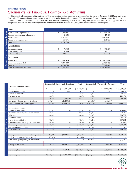#### STATEMENTS OF FINANCIAL POSITION AND ACTIVITIES Financial Report

The following is a summary of the statement of financial position and the statement of activities of the Center as of December 31, 2013 and for the year then ended. This financial information was extracted from the audited financial statements of the Indianapolis Center for Congregations, Inc. It does not, however, include all disclosures normally associated with financial statements prepared in conformity with generally accepted accounting principles. The complete financial statements, including footnotes and the report of our auditors, BKD, LLP, are available for review upon request.

| <b>ASSETS</b>                     | 2013                       | 2012                      |
|-----------------------------------|----------------------------|---------------------------|
| Cash and cash equivalents         | 1,625,884<br>\$            | 2,501,348<br>\$           |
| Prepaid expenses and other assets | 21,933                     | 25,431                    |
| Investments                       | 31,973,612                 | 33,048,992                |
| Property and equipment            | 140,374                    | 211,179                   |
| Total assets                      | 33,761,803                 | 35,786,950                |
| <b>LIABILITIES</b>                |                            |                           |
| Accounts payable                  | \$<br>76,015               | $\mathbb{S}$<br>191,829   |
| Accrued expenses                  | 52,240                     | 87,317                    |
| <b>Total liabilities</b>          | 128,255                    | 279,146                   |
| <b>NET ASSETS</b>                 |                            |                           |
| Unrestricted                      | \$<br>3,157,105            | $\mathbb{S}$<br>2,616,649 |
| Temporarily restricted            | 30,476,443                 | 32,891,155                |
| Total net assets                  | 33,633,548                 | 35,507,804                |
| Total liabilities and net assets  | 33,761,803<br>$\mathbb{S}$ | \$35,786,950              |

|                                                | 2013        |                                     |                          | 2012      |                                     |              |
|------------------------------------------------|-------------|-------------------------------------|--------------------------|-----------|-------------------------------------|--------------|
|                                                |             | Unrestricted Temporarily Restricted | Total                    |           | Unrestricted Temporarily Restricted | Total        |
| Revenues and other support                     |             |                                     |                          |           |                                     |              |
| Contributions                                  | \$          | \$<br>2,135,000                     | \$2,135,000              | \$        | 14,000,000<br>$\mathfrak{L}$        | \$14,000,000 |
| Return of grant funds                          |             | 70,252                              | 70,252                   |           | 56,621                              | 38,758       |
| <b>Educational Events</b>                      | 42,895      |                                     | 42,895                   | 38,758    |                                     | 58,071       |
| Investment income                              | 346,735     |                                     | 346,735                  | 144,683   |                                     | 144,683      |
|                                                | 389,630     | 2,205,252                           | 2,594,882                | 183,441   | 14,056,621                          | 14,240,062   |
| Net assets released from restrictions          | 4,619,964   | (4,619,964)                         |                          | 4,400,327 | (4,400,327)                         |              |
| Total revenues and other support               | 5,009,594   | (2, 414, 712)                       | 2,594,882                | 4,583,768 | 9,656,294                           | 14,240,062   |
|                                                |             |                                     |                          |           |                                     |              |
| <b>Expenses and losses</b>                     |             |                                     |                          |           |                                     |              |
| <b>Resource Consulting</b>                     | 677,531     |                                     | 677,531                  | 428,710   |                                     | 428,710      |
| Resource Discovery and Dissemination           | 195,764     | $\overline{\phantom{0}}$            | 195,764                  | 263,746   | —                                   | 263,746      |
| Education                                      | 800,385     | $\overline{\phantom{0}}$            | 800,385                  | 713,375   | $\overline{\phantom{0}}$            | 713,375      |
| <b>Resource Grants</b>                         | 831,851     | $\mathcal{L}$                       | 831,851                  | 1,036,008 | $\overline{\phantom{0}}$            | 1,036,008    |
| Major Grant Initiative                         | 745,335     | —                                   | 745,335                  | 583,262   | —                                   | 583,262      |
| Congregational Learning and Evaluation         | 634,844     | $\overline{\phantom{0}}$            | 634,844                  | 591,942   |                                     | 591,942      |
| Total program services                         | 3,885,710   |                                     | 3,885,710                | 3,617,043 |                                     | 3,617,043    |
| Management and general                         | 777,149     | $\qquad \qquad \longleftarrow$      | 777,149                  | 822,042   | —                                   | 822,042      |
| Total expenses                                 | 4,662,859   |                                     | 4,662,859                | 4,439,085 |                                     | 4,439,085    |
|                                                |             |                                     |                          |           |                                     |              |
| Change in net assets before other gains/losses | 346,735     | (2, 414, 712)                       | (2,067,977)              | 144,683   | 9,656,294                           | 9,800,977    |
| Realized gains (losses) on investments         | (123, 968)  | $\overline{\phantom{0}}$            | (123,968)                |           | —                                   |              |
| Unrealized gains (losses) on investments       | 317,689     |                                     | 317,689                  | (15, 196) |                                     | (15, 196)    |
|                                                |             |                                     |                          |           |                                     |              |
| Change in net assets                           | 540,456     | (2,414,712)                         | (1,874,256)              | 129,487   | 9,656,294                           | 9,785,781    |
|                                                |             |                                     |                          |           |                                     |              |
| Net assets, beginning of year                  | 2,616,649   | 32,891,155                          | 35,507,804               | 2,487,162 | 23,234,861                          | 25,722,023   |
|                                                |             |                                     |                          |           |                                     |              |
| Net assets, end of year                        | \$3,157,105 | \$ 30,476,443                       | \$33,633,548 \$2,616,649 |           | \$32,891,155                        | \$35,507,804 |



SUMMARY STATEMENT OF FINANCIAL POSITION

SUMMARY STATEMENT OF FINANCIAL POSITION

SUMMARY STATEMENT OF ACTIVITIES SUMMARY STATEMENT OF ACTIVITIES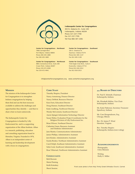

#### **Indianapolis Center for Congregations**

303 N. Alabama St., Suite 100 Indianapolis, Indiana 46204 Phone 317-237-7799 Fax 317-237-7795 Toll free 866-307-2381

> 100 S. Chestnut St. Seymour, Indiana 47274 Phone 812-405-1137 Fax 812-405-1138

#### **Center for Congregations – Northeast**

7906 Carnegie Blvd. Fort Wayne, Indiana 46804 Phone 260-435-1880 Fax 260-435-1883

#### **Center for Congregations – Northwest**

9801 Connecticut Drive, Suite 200 Crown Point, Indiana 46307 Phone 219-472-4938 Fax 219-472-4941

#### **Center for Congregations – Southwest**

**Center for Congregations – Southeast**

7516 Eagle Crest Blvd., Suite A Evansville, Indiana 47715 Phone 812-618-2012 Fax 812-618-2013

info@centerforcongregations.org www.centerforcongregations.org

#### **Mission**

The mission of the Indianapolis Center for Congregations is to strengthen Indiana congregations by helping them find and use the best resources available to address the challenges and opportunities they identify — and then to share what we learn nationwide.

The Indianapolis Center for Congregations is funded by Lilly Endowment Inc. and is a supporting organization of the Alban Institute. Alban is a research, publishing, education and consulting organization based in Herndon, Virginia. Founded in 1974, Alban is an independent center of learning and leadership development with a focus on congregations.

#### **CORE STAFF**

Timothy Shapiro, President Nancy Armstrong, Finance Director Nancy DeMott, Resource Director Kara Faris, Education Director Doug Hanner, Southeast Director Katie Lindberg, Northwest Director Wendy McCormick, Southwest Director Aaron Spiegel, Information Technology Director Susan Weber, Evaluation Project Coordinator for the Religion Division of Lilly Endowment Inc. Brian Witwer, Northeast Director Catharine Green, Resource Assistant and Database Administrator Jane Mastin, Communications Administrator Janice Phillips, Administrative Assistant Jerri Kinder, Administrative Assistant Eunita Booker, Northeast Administrative Assistant Carol Delph, Southeast Administrative Assistant Sofia Cook, Southwest Administrative Assistant Rose Villarruel, Northwest Administrative Assistant

#### **Consultants**

Beth Booram Marie Fleming Keith Koteskey Sherri Session

#### **₂₀₁₃ Board of Directors**

Dr. Paul E. Schmidt, Chairman Indianapolis, Indiana

Ms. Elizabeth McKee, Vice Chair Indianapolis, Indiana

Ms. Katie Patterson, Secretary-Treasurer Speedway, Indiana

Mr. Case Hoogendoorn, Esq. Chicago, Illinois

Rev. Dr. James P. Wind Herndon, Virginia

Rev. Timothy Shapiro Indianapolis, Indiana (non-voting)

#### **Acknowledgements**

Photography Chris Minnick

Writing Holly G. Miller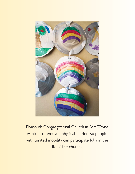

Plymouth Congregational Church in Fort Wayne wanted to remove "physical barriers so people with limited mobility can participate fully in the life of the church."